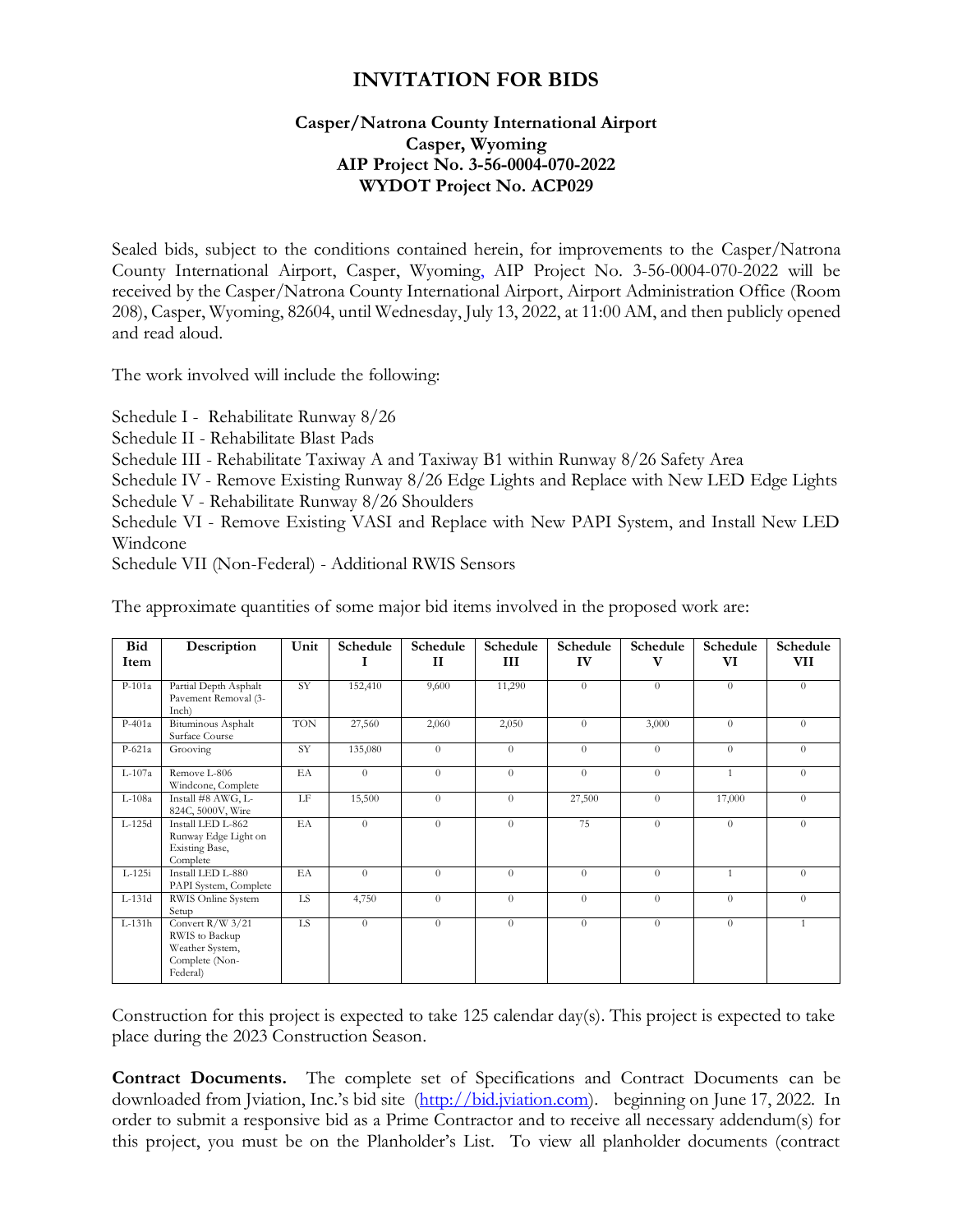# **INVITATION FOR BIDS**

#### **Casper/Natrona County International Airport Casper, Wyoming AIP Project No. 3-56-0004-070-2022 WYDOT Project No. ACP029**

Sealed bids, subject to the conditions contained herein, for improvements to the Casper/Natrona County International Airport, Casper, Wyoming, AIP Project No. 3-56-0004-070-2022 will be received by the Casper/Natrona County International Airport, Airport Administration Office (Room 208), Casper, Wyoming, 82604, until Wednesday, July 13, 2022, at 11:00 AM, and then publicly opened and read aloud.

The work involved will include the following:

Schedule I - Rehabilitate Runway 8/26

Schedule II - Rehabilitate Blast Pads

Schedule III - Rehabilitate Taxiway A and Taxiway B1 within Runway 8/26 Safety Area

Schedule IV - Remove Existing Runway 8/26 Edge Lights and Replace with New LED Edge Lights

Schedule V - Rehabilitate Runway 8/26 Shoulders

Schedule VI - Remove Existing VASI and Replace with New PAPI System, and Install New LED Windcone

Schedule VII (Non-Federal) - Additional RWIS Sensors

| Bid<br>Item | Description                                                                           | Unit       | Schedule       | Schedule<br>$\mathbf{I}$ | Schedule<br>Ш | Schedule<br>IV | Schedule<br>v  | Schedule<br>VI | Schedule<br>VII |
|-------------|---------------------------------------------------------------------------------------|------------|----------------|--------------------------|---------------|----------------|----------------|----------------|-----------------|
| $P-101a$    | Partial Depth Asphalt<br>Pavement Removal (3-<br>Inch)                                | SY         | 152,410        | 9,600                    | 11,290        | $\theta$       | $\Omega$       | $\Omega$       | $\Omega$        |
| $P-401a$    | Bituminous Asphalt<br>Surface Course                                                  | <b>TON</b> | 27,560         | 2,060                    | 2,050         | $\theta$       | 3,000          | $\Omega$       | $\theta$        |
| $P-621a$    | Grooving                                                                              | <b>SY</b>  | 135,080        | $\theta$                 | $\Omega$      | $\theta$       | $\Omega$       | $\Omega$       | $\Omega$        |
| L-107a      | Remove L-806<br>Windcone, Complete                                                    | EA         | $\overline{0}$ | $\theta$                 | $\theta$      | $\theta$       | $\overline{0}$ | $\mathbf{1}$   | $\theta$        |
| L-108a      | Install #8 AWG, L-<br>824C, 5000V, Wire                                               | LF         | 15,500         | $\theta$                 | $\Omega$      | 27,500         | $\Omega$       | 17,000         | $\theta$        |
| L-125d      | Install LED L-862<br>Runway Edge Light on<br>Existing Base,<br>Complete               | EA         | $\overline{0}$ | $\theta$                 | $\Omega$      | 75             | $\Omega$       | $\Omega$       | $\Omega$        |
| $L-125i$    | Install LED L-880<br>PAPI System, Complete                                            | EA         | $\overline{0}$ | $\Omega$                 | $\Omega$      | $\theta$       | $\Omega$       | $\mathbf{1}$   | $\theta$        |
| L-131d      | RWIS Online System<br>Setup                                                           | LS.        | 4,750          | $\theta$                 | $\Omega$      | $\theta$       | $\Omega$       | $\Omega$       | $\theta$        |
| $L-131h$    | Convert $R/W$ 3/21<br>RWIS to Backup<br>Weather System,<br>Complete (Non-<br>Federal) | LS         | $\overline{0}$ | $\theta$                 | $\Omega$      | $\theta$       | $\Omega$       | $\Omega$       |                 |

The approximate quantities of some major bid items involved in the proposed work are:

Construction for this project is expected to take 125 calendar day(s). This project is expected to take place during the 2023 Construction Season.

**Contract Documents.** The complete set of Specifications and Contract Documents can be downloaded from Jviation, Inc.'s bid site ([http://bid.jviation.com\)](http://bid.jviation.com/). beginning on June 17, 2022. In order to submit a responsive bid as a Prime Contractor and to receive all necessary addendum(s) for this project, you must be on the Planholder's List. To view all planholder documents (contract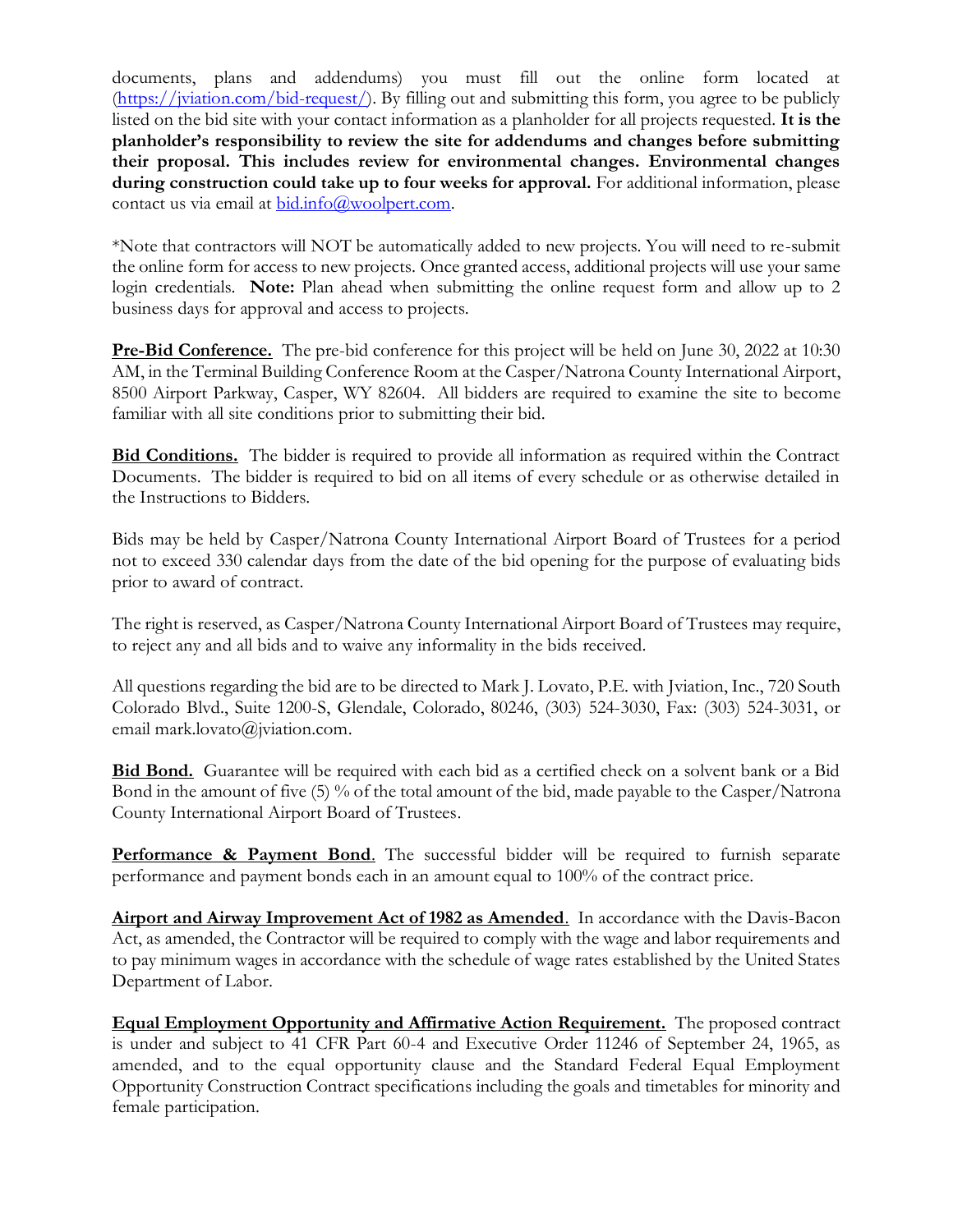documents, plans and addendums) you must fill out the online form located at [\(https://jviation.com/bid-request/\)](https://jviation.com/bid-request/). By filling out and submitting this form, you agree to be publicly listed on the bid site with your contact information as a planholder for all projects requested. **It is the planholder's responsibility to review the site for addendums and changes before submitting their proposal. This includes review for environmental changes. Environmental changes during construction could take up to four weeks for approval.** For additional information, please contact us via email at  $bid.info@woodpert.com$ .

\*Note that contractors will NOT be automatically added to new projects. You will need to re-submit the online form for access to new projects. Once granted access, additional projects will use your same login credentials. **Note:** Plan ahead when submitting the online request form and allow up to 2 business days for approval and access to projects.

**Pre-Bid Conference.** The pre-bid conference for this project will be held on June 30, 2022 at 10:30 AM, in the Terminal Building Conference Room at the Casper/Natrona County International Airport, 8500 Airport Parkway, Casper, WY 82604. All bidders are required to examine the site to become familiar with all site conditions prior to submitting their bid.

**Bid Conditions.** The bidder is required to provide all information as required within the Contract Documents. The bidder is required to bid on all items of every schedule or as otherwise detailed in the Instructions to Bidders.

Bids may be held by Casper/Natrona County International Airport Board of Trustees for a period not to exceed 330 calendar days from the date of the bid opening for the purpose of evaluating bids prior to award of contract.

The right is reserved, as Casper/Natrona County International Airport Board of Trustees may require, to reject any and all bids and to waive any informality in the bids received.

All questions regarding the bid are to be directed to Mark J. Lovato, P.E. with Jviation, Inc., 720 South Colorado Blvd., Suite 1200-S, Glendale, Colorado, 80246, (303) 524-3030, Fax: (303) 524-3031, or email mark.lovato@jviation.com.

**Bid Bond.** Guarantee will be required with each bid as a certified check on a solvent bank or a Bid Bond in the amount of five (5) % of the total amount of the bid, made payable to the Casper/Natrona County International Airport Board of Trustees.

**Performance & Payment Bond**. The successful bidder will be required to furnish separate performance and payment bonds each in an amount equal to 100% of the contract price.

**Airport and Airway Improvement Act of 1982 as Amended**. In accordance with the Davis-Bacon Act, as amended, the Contractor will be required to comply with the wage and labor requirements and to pay minimum wages in accordance with the schedule of wage rates established by the United States Department of Labor.

**Equal Employment Opportunity and Affirmative Action Requirement.** The proposed contract is under and subject to 41 CFR Part 60-4 and Executive Order 11246 of September 24, 1965, as amended, and to the equal opportunity clause and the Standard Federal Equal Employment Opportunity Construction Contract specifications including the goals and timetables for minority and female participation.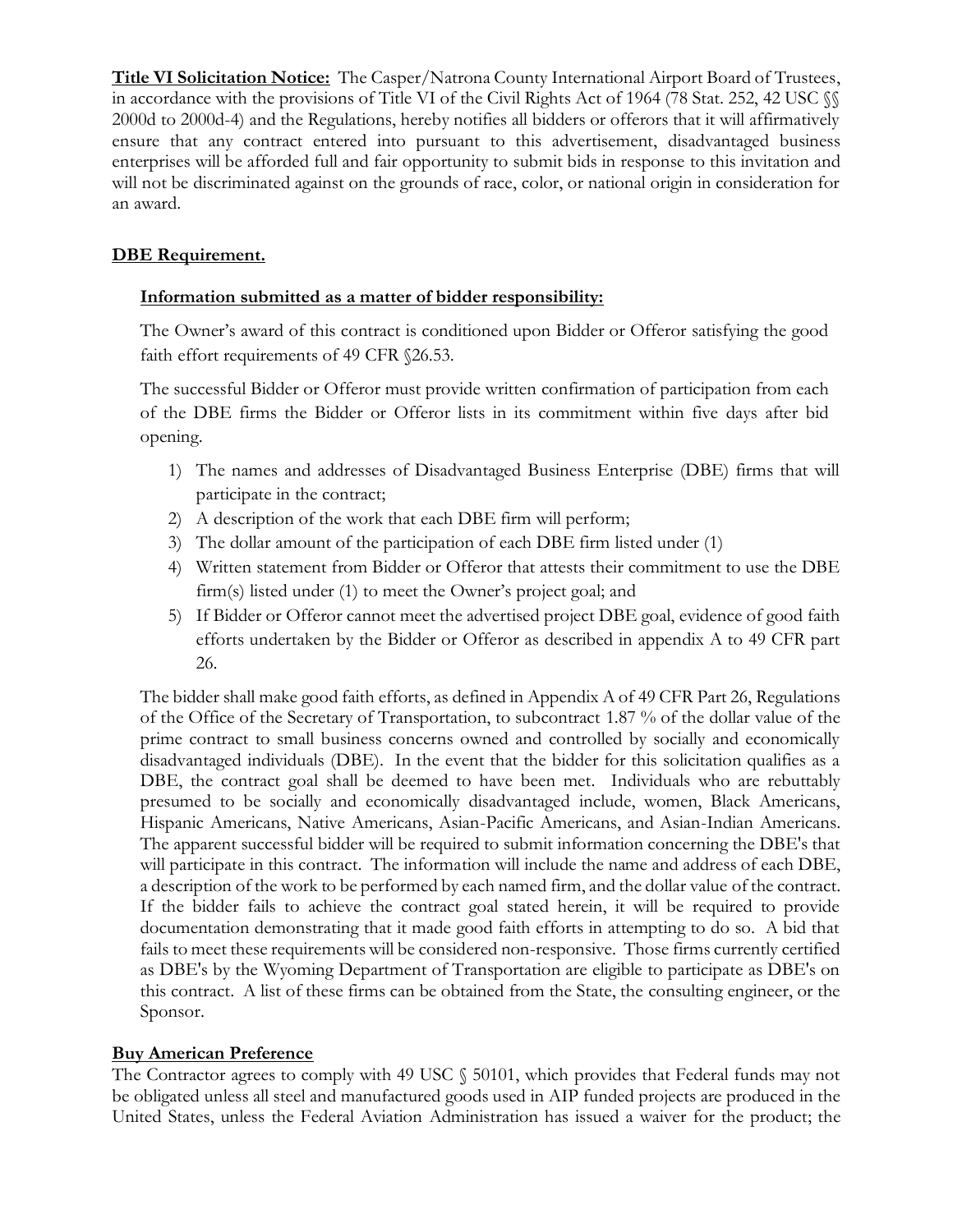**Title VI Solicitation Notice:** The Casper/Natrona County International Airport Board of Trustees, in accordance with the provisions of Title VI of the Civil Rights Act of 1964 (78 Stat. 252, 42 USC  $\%$ 2000d to 2000d-4) and the Regulations, hereby notifies all bidders or offerors that it will affirmatively ensure that any contract entered into pursuant to this advertisement, disadvantaged business enterprises will be afforded full and fair opportunity to submit bids in response to this invitation and will not be discriminated against on the grounds of race, color, or national origin in consideration for an award.

## **DBE Requirement.**

## **Information submitted as a matter of bidder responsibility:**

The Owner's award of this contract is conditioned upon Bidder or Offeror satisfying the good faith effort requirements of 49 CFR §26.53.

The successful Bidder or Offeror must provide written confirmation of participation from each of the DBE firms the Bidder or Offeror lists in its commitment within five days after bid opening.

- 1) The names and addresses of Disadvantaged Business Enterprise (DBE) firms that will participate in the contract;
- 2) A description of the work that each DBE firm will perform;
- 3) The dollar amount of the participation of each DBE firm listed under (1)
- 4) Written statement from Bidder or Offeror that attests their commitment to use the DBE firm(s) listed under (1) to meet the Owner's project goal; and
- 5) If Bidder or Offeror cannot meet the advertised project DBE goal, evidence of good faith efforts undertaken by the Bidder or Offeror as described in appendix A to 49 CFR part 26.

The bidder shall make good faith efforts, as defined in Appendix A of 49 CFR Part 26, Regulations of the Office of the Secretary of Transportation, to subcontract 1.87 % of the dollar value of the prime contract to small business concerns owned and controlled by socially and economically disadvantaged individuals (DBE). In the event that the bidder for this solicitation qualifies as a DBE, the contract goal shall be deemed to have been met. Individuals who are rebuttably presumed to be socially and economically disadvantaged include, women, Black Americans, Hispanic Americans, Native Americans, Asian-Pacific Americans, and Asian-Indian Americans. The apparent successful bidder will be required to submit information concerning the DBE's that will participate in this contract. The information will include the name and address of each DBE, a description of the work to be performed by each named firm, and the dollar value of the contract. If the bidder fails to achieve the contract goal stated herein, it will be required to provide documentation demonstrating that it made good faith efforts in attempting to do so. A bid that fails to meet these requirements will be considered non-responsive. Those firms currently certified as DBE's by the Wyoming Department of Transportation are eligible to participate as DBE's on this contract. A list of these firms can be obtained from the State, the consulting engineer, or the Sponsor.

## **Buy American Preference**

The Contractor agrees to comply with 49 USC  $\S$  50101, which provides that Federal funds may not be obligated unless all steel and manufactured goods used in AIP funded projects are produced in the United States, unless the Federal Aviation Administration has issued a waiver for the product; the